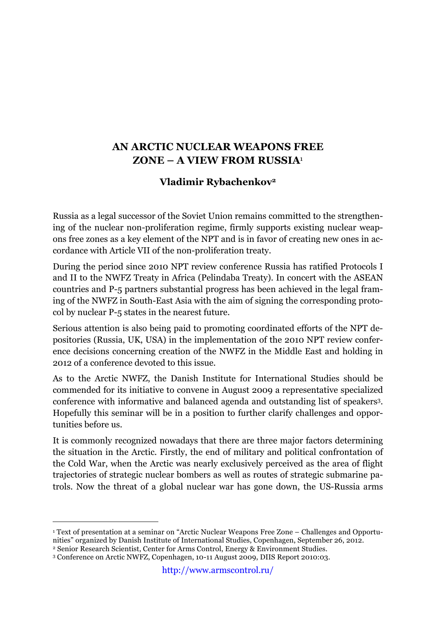## **AN ARCTIC NUCLEAR WEAPONS FREE ZONE – A VIEW FROM RUSSIA**<sup>1</sup>

## **Vladimir Rybachenkov2**

Russia as a legal successor of the Soviet Union remains committed to the strengthening of the nuclear non-proliferation regime, firmly supports existing nuclear weapons free zones as a key element of the NPT and is in favor of creating new ones in accordance with Article VII of the non-proliferation treaty.

During the period since 2010 NPT review conference Russia has ratified Protocols I and II to the NWFZ Treaty in Africa (Pelindaba Treaty). In concert with the ASEAN countries and P-5 partners substantial progress has been achieved in the legal framing of the NWFZ in South-East Asia with the aim of signing the corresponding protocol by nuclear P-5 states in the nearest future.

Serious attention is also being paid to promoting coordinated efforts of the NPT depositories (Russia, UK, USA) in the implementation of the 2010 NPT review conference decisions concerning creation of the NWFZ in the Middle East and holding in 2012 of a conference devoted to this issue.

As to the Arctic NWFZ, the Danish Institute for International Studies should be commended for its initiative to convene in August 2009 a representative specialized conference with informative and balanced agenda and outstanding list of speakers3. Hopefully this seminar will be in a position to further clarify challenges and opportunities before us.

It is commonly recognized nowadays that there are three major factors determining the situation in the Arctic. Firstly, the end of military and political confrontation of the Cold War, when the Arctic was nearly exclusively perceived as the area of flight trajectories of strategic nuclear bombers as well as routes of strategic submarine patrols. Now the threat of a global nuclear war has gone down, the US-Russia arms

 <sup>1</sup> Text of presentation at a seminar on "Arctic Nuclear Weapons Free Zone – Challenges and Opportunities" organized by Danish Institute of International Studies, Copenhagen, September 26, 2012.

<sup>2</sup> Senior Research Scientist, Center for Arms Control, Energy & Environment Studies.

<sup>3</sup> Conference on Arctic NWFZ, Copenhagen, 10-11 August 2009, DIIS Report 2010:03.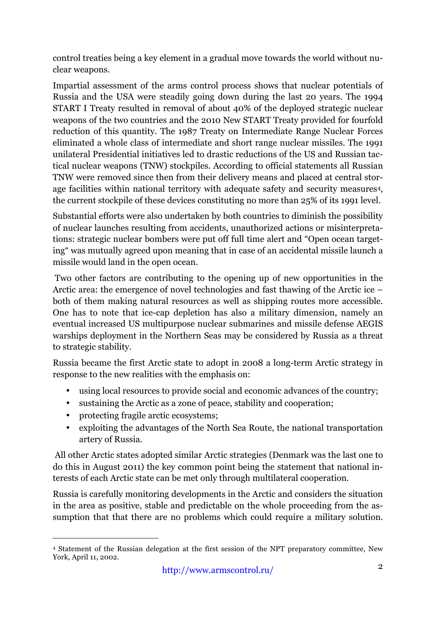control treaties being a key element in a gradual move towards the world without nuclear weapons.

Impartial assessment of the arms control process shows that nuclear potentials of Russia and the USA were steadily going down during the last 20 years. The 1994 START I Treaty resulted in removal of about 40% of the deployed strategic nuclear weapons of the two countries and the 2010 New START Treaty provided for fourfold reduction of this quantity. The 1987 Treaty on Intermediate Range Nuclear Forces eliminated a whole class of intermediate and short range nuclear missiles. The 1991 unilateral Presidential initiatives led to drastic reductions of the US and Russian tactical nuclear weapons (TNW) stockpiles. According to official statements all Russian TNW were removed since then from their delivery means and placed at central storage facilities within national territory with adequate safety and security measures4, the current stockpile of these devices constituting no more than 25% of its 1991 level.

Substantial efforts were also undertaken by both countries to diminish the possibility of nuclear launches resulting from accidents, unauthorized actions or misinterpretations: strategic nuclear bombers were put off full time alert and "Open ocean targeting" was mutually agreed upon meaning that in case of an accidental missile launch a missile would land in the open ocean.

Two other factors are contributing to the opening up of new opportunities in the Arctic area: the emergence of novel technologies and fast thawing of the Arctic ice – both of them making natural resources as well as shipping routes more accessible. One has to note that ice-cap depletion has also a military dimension, namely an eventual increased US multipurpose nuclear submarines and missile defense AEGIS warships deployment in the Northern Seas may be considered by Russia as a threat to strategic stability.

Russia became the first Arctic state to adopt in 2008 a long-term Arctic strategy in response to the new realities with the emphasis on:

- using local resources to provide social and economic advances of the country;
- sustaining the Arctic as a zone of peace, stability and cooperation;
- protecting fragile arctic ecosystems;
- exploiting the advantages of the North Sea Route, the national transportation artery of Russia.

All other Arctic states adopted similar Arctic strategies (Denmark was the last one to do this in August 2011) the key common point being the statement that national interests of each Arctic state can be met only through multilateral cooperation.

Russia is carefully monitoring developments in the Arctic and considers the situation in the area as positive, stable and predictable on the whole proceeding from the assumption that that there are no problems which could require a military solution.

 <sup>4</sup> Statement of the Russian delegation at the first session of the NPT preparatory committee, New York, April 11, 2002.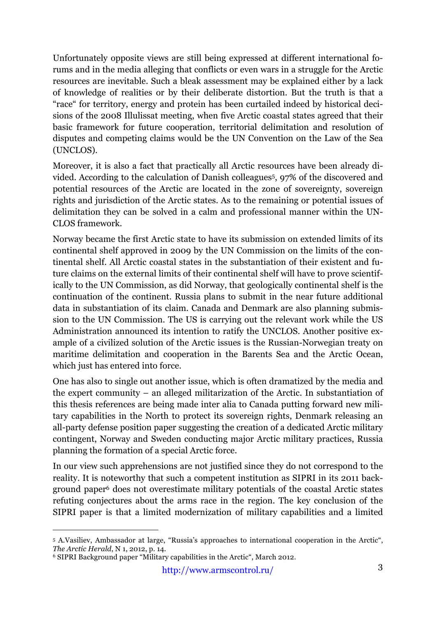Unfortunately opposite views are still being expressed at different international forums and in the media alleging that conflicts or even wars in a struggle for the Arctic resources are inevitable. Such a bleak assessment may be explained either by a lack of knowledge of realities or by their deliberate distortion. But the truth is that a "race" for territory, energy and protein has been curtailed indeed by historical decisions of the 2008 Illulissat meeting, when five Arctic coastal states agreed that their basic framework for future cooperation, territorial delimitation and resolution of disputes and competing claims would be the UN Convention on the Law of the Sea (UNCLOS).

Moreover, it is also a fact that practically all Arctic resources have been already divided. According to the calculation of Danish colleagues5, 97% of the discovered and potential resources of the Arctic are located in the zone of sovereignty, sovereign rights and jurisdiction of the Arctic states. As to the remaining or potential issues of delimitation they can be solved in a calm and professional manner within the UN-CLOS framework.

Norway became the first Arctic state to have its submission on extended limits of its continental shelf approved in 2009 by the UN Commission on the limits of the continental shelf. All Arctic coastal states in the substantiation of their existent and future claims on the external limits of their continental shelf will have to prove scientifically to the UN Commission, as did Norway, that geologically continental shelf is the continuation of the continent. Russia plans to submit in the near future additional data in substantiation of its claim. Canada and Denmark are also planning submission to the UN Commission. The US is carrying out the relevant work while the US Administration announced its intention to ratify the UNCLOS. Another positive example of a civilized solution of the Arctic issues is the Russian-Norwegian treaty on maritime delimitation and cooperation in the Barents Sea and the Arctic Ocean, which just has entered into force.

One has also to single out another issue, which is often dramatized by the media and the expert community – an alleged militarization of the Arctic. In substantiation of this thesis references are being made inter alia to Canada putting forward new military capabilities in the North to protect its sovereign rights, Denmark releasing an all-party defense position paper suggesting the creation of a dedicated Arctic military contingent, Norway and Sweden conducting major Arctic military practices, Russia planning the formation of a special Arctic force.

In our view such apprehensions are not justified since they do not correspond to the reality. It is noteworthy that such a competent institution as SIPRI in its 2011 background paper6 does not overestimate military potentials of the coastal Arctic states refuting conjectures about the arms race in the region. The key conclusion of the SIPRI paper is that a limited modernization of military capabilities and a limited

 <sup>5</sup> A.Vasiliev, Ambassador at large, "Russia's approaches to international cooperation in the Arctic", *The Arctic Herald*, N 1, 2012, p. 14.

<sup>6</sup> SIPRI Background paper "Military capabilities in the Arctic", March 2012.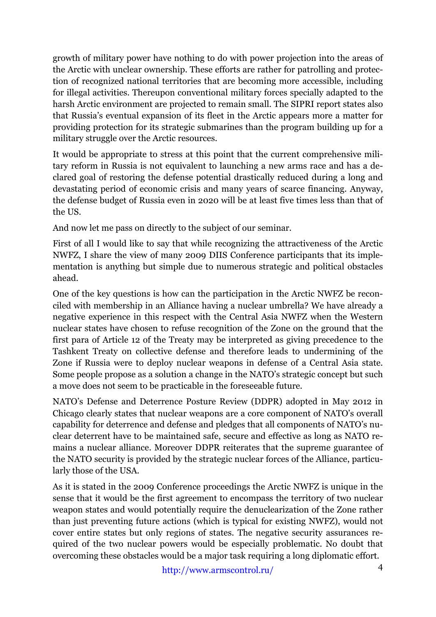growth of military power have nothing to do with power projection into the areas of the Arctic with unclear ownership. These efforts are rather for patrolling and protection of recognized national territories that are becoming more accessible, including for illegal activities. Thereupon conventional military forces specially adapted to the harsh Arctic environment are projected to remain small. The SIPRI report states also that Russia's eventual expansion of its fleet in the Arctic appears more a matter for providing protection for its strategic submarines than the program building up for a military struggle over the Arctic resources.

It would be appropriate to stress at this point that the current comprehensive military reform in Russia is not equivalent to launching a new arms race and has a declared goal of restoring the defense potential drastically reduced during a long and devastating period of economic crisis and many years of scarce financing. Anyway, the defense budget of Russia even in 2020 will be at least five times less than that of the US.

And now let me pass on directly to the subject of our seminar.

First of all I would like to say that while recognizing the attractiveness of the Arctic NWFZ, I share the view of many 2009 DIIS Conference participants that its implementation is anything but simple due to numerous strategic and political obstacles ahead.

One of the key questions is how can the participation in the Arctic NWFZ be reconciled with membership in an Alliance having a nuclear umbrella? We have already a negative experience in this respect with the Central Asia NWFZ when the Western nuclear states have chosen to refuse recognition of the Zone on the ground that the first para of Article 12 of the Treaty may be interpreted as giving precedence to the Tashkent Treaty on collective defense and therefore leads to undermining of the Zone if Russia were to deploy nuclear weapons in defense of a Central Asia state. Some people propose as a solution a change in the NATO's strategic concept but such a move does not seem to be practicable in the foreseeable future.

NATO's Defense and Deterrence Posture Review (DDPR) adopted in May 2012 in Chicago clearly states that nuclear weapons are a core component of NATO's overall capability for deterrence and defense and pledges that all components of NATO's nuclear deterrent have to be maintained safe, secure and effective as long as NATO remains a nuclear alliance. Moreover DDPR reiterates that the supreme guarantee of the NATO security is provided by the strategic nuclear forces of the Alliance, particularly those of the USA.

As it is stated in the 2009 Conference proceedings the Arctic NWFZ is unique in the sense that it would be the first agreement to encompass the territory of two nuclear weapon states and would potentially require the denuclearization of the Zone rather than just preventing future actions (which is typical for existing NWFZ), would not cover entire states but only regions of states. The negative security assurances required of the two nuclear powers would be especially problematic. No doubt that overcoming these obstacles would be a major task requiring a long diplomatic effort.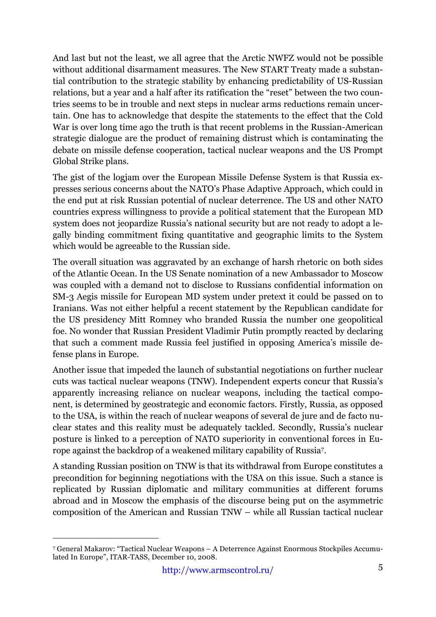And last but not the least, we all agree that the Arctic NWFZ would not be possible without additional disarmament measures. The New START Treaty made a substantial contribution to the strategic stability by enhancing predictability of US-Russian relations, but a year and a half after its ratification the "reset" between the two countries seems to be in trouble and next steps in nuclear arms reductions remain uncertain. One has to acknowledge that despite the statements to the effect that the Cold War is over long time ago the truth is that recent problems in the Russian-American strategic dialogue are the product of remaining distrust which is contaminating the debate on missile defense cooperation, tactical nuclear weapons and the US Prompt Global Strike plans.

The gist of the logjam over the European Missile Defense System is that Russia expresses serious concerns about the NATO's Phase Adaptive Approach, which could in the end put at risk Russian potential of nuclear deterrence. The US and other NATO countries express willingness to provide a political statement that the European MD system does not jeopardize Russia's national security but are not ready to adopt a legally binding commitment fixing quantitative and geographic limits to the System which would be agreeable to the Russian side.

The overall situation was aggravated by an exchange of harsh rhetoric on both sides of the Atlantic Ocean. In the US Senate nomination of a new Ambassador to Moscow was coupled with a demand not to disclose to Russians confidential information on SM-3 Aegis missile for European MD system under pretext it could be passed on to Iranians. Was not either helpful a recent statement by the Republican candidate for the US presidency Mitt Romney who branded Russia the number one geopolitical foe. No wonder that Russian President Vladimir Putin promptly reacted by declaring that such a comment made Russia feel justified in opposing America's missile defense plans in Europe.

Another issue that impeded the launch of substantial negotiations on further nuclear cuts was tactical nuclear weapons (TNW). Independent experts concur that Russia's apparently increasing reliance on nuclear weapons, including the tactical component, is determined by geostrategic and economic factors. Firstly, Russia, as opposed to the USA, is within the reach of nuclear weapons of several de jure and de facto nuclear states and this reality must be adequately tackled. Secondly, Russia's nuclear posture is linked to a perception of NATO superiority in conventional forces in Europe against the backdrop of a weakened military capability of Russia7.

A standing Russian position on TNW is that its withdrawal from Europe constitutes a precondition for beginning negotiations with the USA on this issue. Such a stance is replicated by Russian diplomatic and military communities at different forums abroad and in Moscow the emphasis of the discourse being put on the asymmetric composition of the American and Russian TNW – while all Russian tactical nuclear

 <sup>7</sup> General Makarov: "Tactical Nuclear Weapons – A Deterrence Against Enormous Stockpiles Accumulated In Europe", ITAR-TASS, December 10, 2008.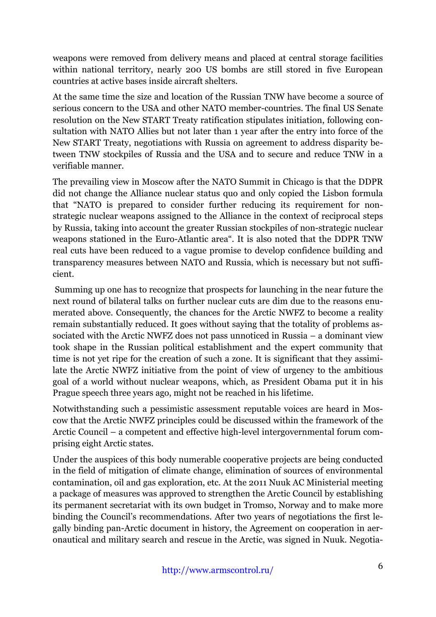weapons were removed from delivery means and placed at central storage facilities within national territory, nearly 200 US bombs are still stored in five European countries at active bases inside aircraft shelters.

At the same time the size and location of the Russian TNW have become a source of serious concern to the USA and other NATO member-countries. The final US Senate resolution on the New START Treaty ratification stipulates initiation, following consultation with NATO Allies but not later than 1 year after the entry into force of the New START Treaty, negotiations with Russia on agreement to address disparity between TNW stockpiles of Russia and the USA and to secure and reduce TNW in a verifiable manner.

The prevailing view in Moscow after the NATO Summit in Chicago is that the DDPR did not change the Alliance nuclear status quo and only copied the Lisbon formula that "NATO is prepared to consider further reducing its requirement for nonstrategic nuclear weapons assigned to the Alliance in the context of reciprocal steps by Russia, taking into account the greater Russian stockpiles of non-strategic nuclear weapons stationed in the Euro-Atlantic area". It is also noted that the DDPR TNW real cuts have been reduced to a vague promise to develop confidence building and transparency measures between NATO and Russia, which is necessary but not sufficient.

Summing up one has to recognize that prospects for launching in the near future the next round of bilateral talks on further nuclear cuts are dim due to the reasons enumerated above. Consequently, the chances for the Arctic NWFZ to become a reality remain substantially reduced. It goes without saying that the totality of problems associated with the Arctic NWFZ does not pass unnoticed in Russia – a dominant view took shape in the Russian political establishment and the expert community that time is not yet ripe for the creation of such a zone. It is significant that they assimilate the Arctic NWFZ initiative from the point of view of urgency to the ambitious goal of a world without nuclear weapons, which, as President Obama put it in his Prague speech three years ago, might not be reached in his lifetime.

Notwithstanding such a pessimistic assessment reputable voices are heard in Moscow that the Arctic NWFZ principles could be discussed within the framework of the Arctic Council – a competent and effective high-level intergovernmental forum comprising eight Arctic states.

Under the auspices of this body numerable cooperative projects are being conducted in the field of mitigation of climate change, elimination of sources of environmental contamination, oil and gas exploration, etc. At the 2011 Nuuk AC Ministerial meeting a package of measures was approved to strengthen the Arctic Council by establishing its permanent secretariat with its own budget in Tromso, Norway and to make more binding the Council's recommendations. After two years of negotiations the first legally binding pan-Arctic document in history, the Agreement on cooperation in aeronautical and military search and rescue in the Arctic, was signed in Nuuk. Negotia